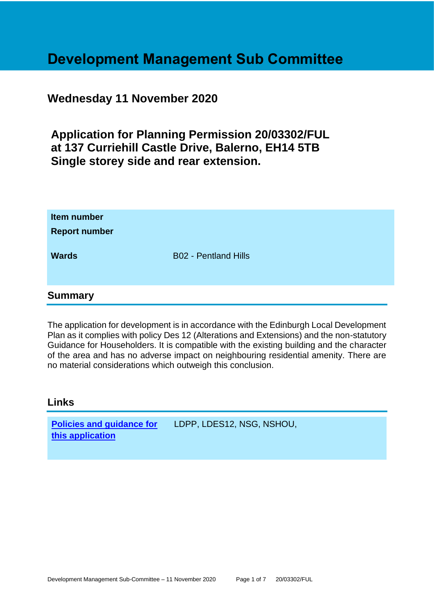# **Development Management Sub Committee**

## **Wednesday 11 November 2020**

**Application for Planning Permission 20/03302/FUL at 137 Curriehill Castle Drive, Balerno, EH14 5TB Single storey side and rear extension.**

| Item number<br><b>Report number</b> |                             |  |
|-------------------------------------|-----------------------------|--|
| <b>Wards</b>                        | <b>B02 - Pentland Hills</b> |  |
| <b>Summary</b>                      |                             |  |

The application for development is in accordance with the Edinburgh Local Development Plan as it complies with policy Des 12 (Alterations and Extensions) and the non-statutory Guidance for Householders. It is compatible with the existing building and the character of the area and has no adverse impact on neighbouring residential amenity. There are no material considerations which outweigh this conclusion.

#### **Links**

**[Policies and guidance for](file:///C:/uniform/temp/uf04148.rtf%23Policies)  [this application](file:///C:/uniform/temp/uf04148.rtf%23Policies)** LDPP, LDES12, NSG, NSHOU,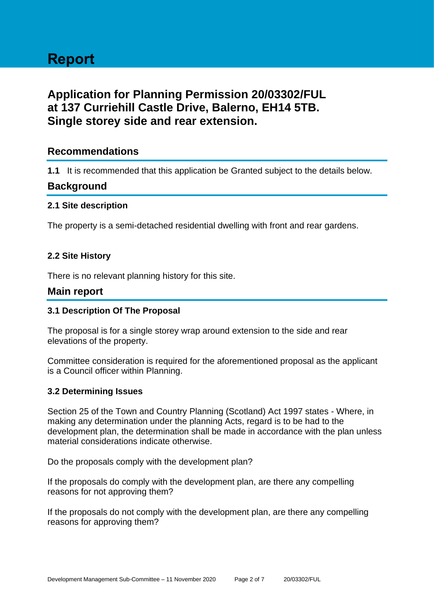## **Application for Planning Permission 20/03302/FUL at 137 Curriehill Castle Drive, Balerno, EH14 5TB. Single storey side and rear extension.**

## **Recommendations**

**1.1** It is recommended that this application be Granted subject to the details below.

## **Background**

#### **2.1 Site description**

The property is a semi-detached residential dwelling with front and rear gardens.

#### **2.2 Site History**

There is no relevant planning history for this site.

#### **Main report**

#### **3.1 Description Of The Proposal**

The proposal is for a single storey wrap around extension to the side and rear elevations of the property.

Committee consideration is required for the aforementioned proposal as the applicant is a Council officer within Planning.

#### **3.2 Determining Issues**

Section 25 of the Town and Country Planning (Scotland) Act 1997 states - Where, in making any determination under the planning Acts, regard is to be had to the development plan, the determination shall be made in accordance with the plan unless material considerations indicate otherwise.

Do the proposals comply with the development plan?

If the proposals do comply with the development plan, are there any compelling reasons for not approving them?

If the proposals do not comply with the development plan, are there any compelling reasons for approving them?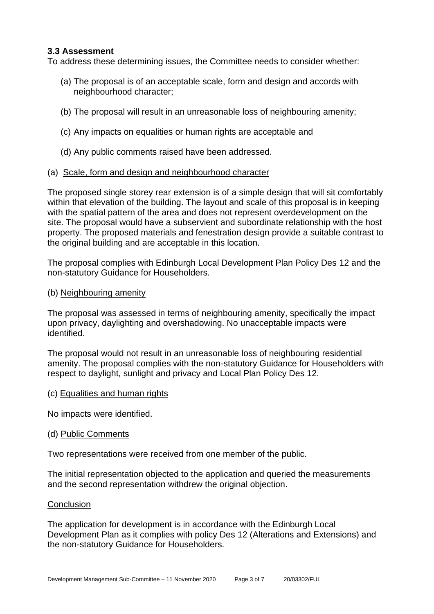#### **3.3 Assessment**

To address these determining issues, the Committee needs to consider whether:

- (a) The proposal is of an acceptable scale, form and design and accords with neighbourhood character;
- (b) The proposal will result in an unreasonable loss of neighbouring amenity;
- (c) Any impacts on equalities or human rights are acceptable and
- (d) Any public comments raised have been addressed.
- (a) Scale, form and design and neighbourhood character

The proposed single storey rear extension is of a simple design that will sit comfortably within that elevation of the building. The layout and scale of this proposal is in keeping with the spatial pattern of the area and does not represent overdevelopment on the site. The proposal would have a subservient and subordinate relationship with the host property. The proposed materials and fenestration design provide a suitable contrast to the original building and are acceptable in this location.

The proposal complies with Edinburgh Local Development Plan Policy Des 12 and the non-statutory Guidance for Householders.

(b) Neighbouring amenity

The proposal was assessed in terms of neighbouring amenity, specifically the impact upon privacy, daylighting and overshadowing. No unacceptable impacts were identified.

The proposal would not result in an unreasonable loss of neighbouring residential amenity. The proposal complies with the non-statutory Guidance for Householders with respect to daylight, sunlight and privacy and Local Plan Policy Des 12.

(c) Equalities and human rights

No impacts were identified.

(d) Public Comments

Two representations were received from one member of the public.

The initial representation objected to the application and queried the measurements and the second representation withdrew the original objection.

#### **Conclusion**

The application for development is in accordance with the Edinburgh Local Development Plan as it complies with policy Des 12 (Alterations and Extensions) and the non-statutory Guidance for Householders.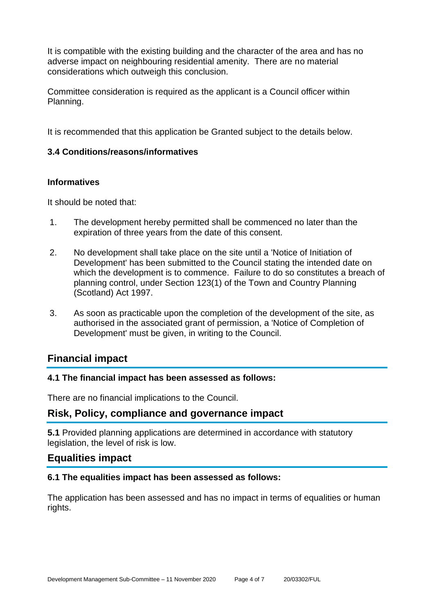It is compatible with the existing building and the character of the area and has no adverse impact on neighbouring residential amenity. There are no material considerations which outweigh this conclusion.

Committee consideration is required as the applicant is a Council officer within Planning.

It is recommended that this application be Granted subject to the details below.

#### **3.4 Conditions/reasons/informatives**

#### **Informatives**

It should be noted that:

- 1. The development hereby permitted shall be commenced no later than the expiration of three years from the date of this consent.
- 2. No development shall take place on the site until a 'Notice of Initiation of Development' has been submitted to the Council stating the intended date on which the development is to commence. Failure to do so constitutes a breach of planning control, under Section 123(1) of the Town and Country Planning (Scotland) Act 1997.
- 3. As soon as practicable upon the completion of the development of the site, as authorised in the associated grant of permission, a 'Notice of Completion of Development' must be given, in writing to the Council.

## **Financial impact**

#### **4.1 The financial impact has been assessed as follows:**

There are no financial implications to the Council.

## **Risk, Policy, compliance and governance impact**

**5.1** Provided planning applications are determined in accordance with statutory legislation, the level of risk is low.

#### **Equalities impact**

#### **6.1 The equalities impact has been assessed as follows:**

The application has been assessed and has no impact in terms of equalities or human rights.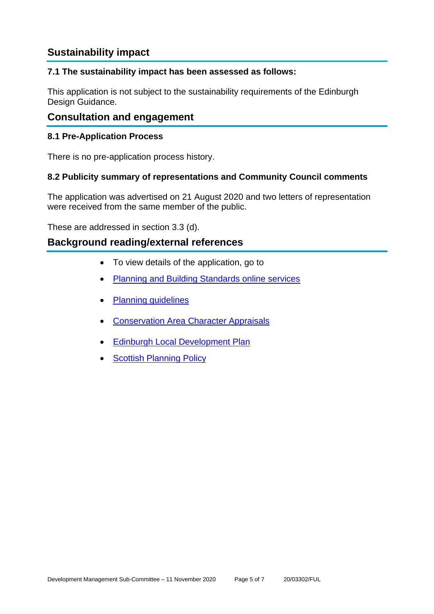## **Sustainability impact**

#### **7.1 The sustainability impact has been assessed as follows:**

This application is not subject to the sustainability requirements of the Edinburgh Design Guidance.

## **Consultation and engagement**

#### **8.1 Pre-Application Process**

There is no pre-application process history.

#### **8.2 Publicity summary of representations and Community Council comments**

The application was advertised on 21 August 2020 and two letters of representation were received from the same member of the public.

These are addressed in section 3.3 (d).

## **Background reading/external references**

- To view details of the application, go to
- [Planning and Building Standards online services](https://citydev-portal.edinburgh.gov.uk/idoxpa-web/search.do?action=simple&searchType=Application)
- [Planning guidelines](http://www.edinburgh.gov.uk/planningguidelines)
- [Conservation Area Character Appraisals](http://www.edinburgh.gov.uk/characterappraisals)
- **[Edinburgh Local Development Plan](http://www.edinburgh.gov.uk/localdevelopmentplan)**
- **[Scottish Planning Policy](http://www.scotland.gov.uk/Topics/Built-Environment/planning/Policy)**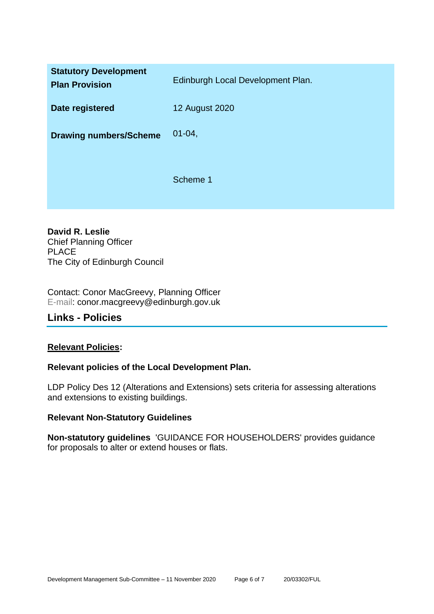| <b>Statutory Development</b><br><b>Plan Provision</b> | Edinburgh Local Development Plan. |
|-------------------------------------------------------|-----------------------------------|
| Date registered                                       | <b>12 August 2020</b>             |
| <b>Drawing numbers/Scheme</b>                         | $01 - 04$ ,                       |
|                                                       | Scheme 1                          |

**David R. Leslie** Chief Planning Officer PLACE The City of Edinburgh Council

Contact: Conor MacGreevy, Planning Officer E-mail: conor.macgreevy@edinburgh.gov.uk

## **Links - Policies**

#### **Relevant Policies:**

#### **Relevant policies of the Local Development Plan.**

LDP Policy Des 12 (Alterations and Extensions) sets criteria for assessing alterations and extensions to existing buildings.

#### **Relevant Non-Statutory Guidelines**

**Non-statutory guidelines** 'GUIDANCE FOR HOUSEHOLDERS' provides guidance for proposals to alter or extend houses or flats.